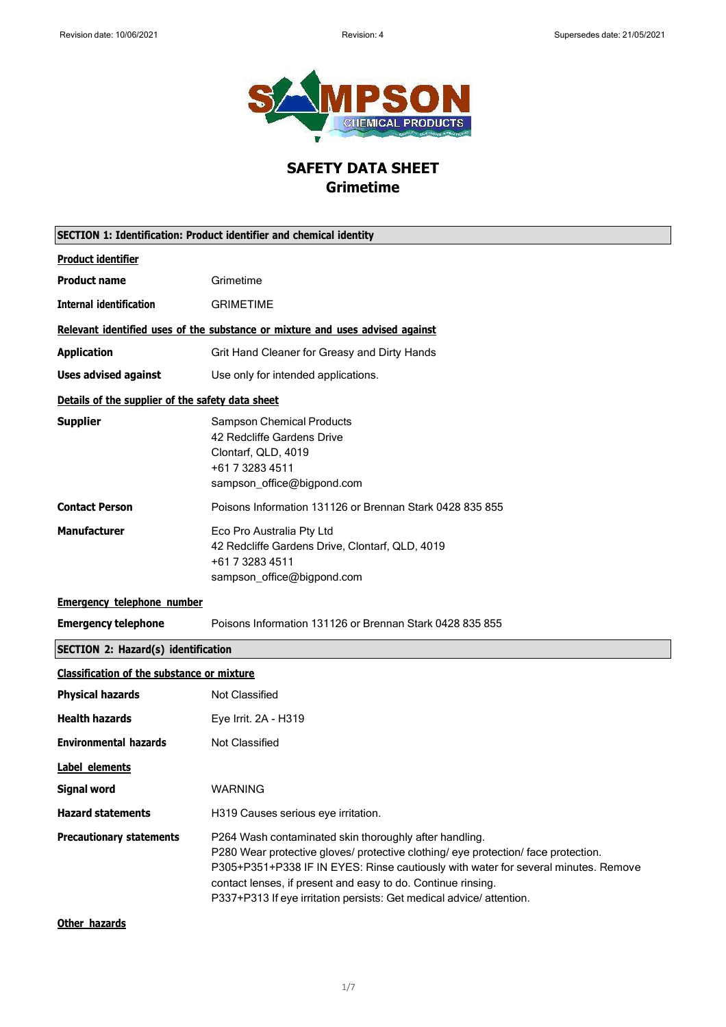

# **SAFETY DATA SHEET Grimetime**

| SECTION 1: Identification: Product identifier and chemical identity |                                                                                                                                                                                                                                                                                                                                                                            |
|---------------------------------------------------------------------|----------------------------------------------------------------------------------------------------------------------------------------------------------------------------------------------------------------------------------------------------------------------------------------------------------------------------------------------------------------------------|
| <b>Product identifier</b>                                           |                                                                                                                                                                                                                                                                                                                                                                            |
| <b>Product name</b>                                                 | Grimetime                                                                                                                                                                                                                                                                                                                                                                  |
| <b>Internal identification</b>                                      | <b>GRIMETIME</b>                                                                                                                                                                                                                                                                                                                                                           |
|                                                                     | Relevant identified uses of the substance or mixture and uses advised against                                                                                                                                                                                                                                                                                              |
| <b>Application</b>                                                  | Grit Hand Cleaner for Greasy and Dirty Hands                                                                                                                                                                                                                                                                                                                               |
| <b>Uses advised against</b>                                         | Use only for intended applications.                                                                                                                                                                                                                                                                                                                                        |
| Details of the supplier of the safety data sheet                    |                                                                                                                                                                                                                                                                                                                                                                            |
| <b>Supplier</b>                                                     | <b>Sampson Chemical Products</b><br>42 Redcliffe Gardens Drive<br>Clontarf, QLD, 4019<br>+61 7 3283 4511<br>sampson_office@bigpond.com                                                                                                                                                                                                                                     |
| <b>Contact Person</b>                                               | Poisons Information 131126 or Brennan Stark 0428 835 855                                                                                                                                                                                                                                                                                                                   |
| <b>Manufacturer</b>                                                 | Eco Pro Australia Pty Ltd<br>42 Redcliffe Gardens Drive, Clontarf, QLD, 4019<br>+61 7 3283 4511<br>sampson_office@bigpond.com                                                                                                                                                                                                                                              |
| <b>Emergency telephone number</b>                                   |                                                                                                                                                                                                                                                                                                                                                                            |
| <b>Emergency telephone</b>                                          | Poisons Information 131126 or Brennan Stark 0428 835 855                                                                                                                                                                                                                                                                                                                   |
| <b>SECTION 2: Hazard(s) identification</b>                          |                                                                                                                                                                                                                                                                                                                                                                            |
| <b>Classification of the substance or mixture</b>                   |                                                                                                                                                                                                                                                                                                                                                                            |
| <b>Physical hazards</b>                                             | Not Classified                                                                                                                                                                                                                                                                                                                                                             |
| <b>Health hazards</b>                                               | Eye Irrit. 2A - H319                                                                                                                                                                                                                                                                                                                                                       |
| <b>Environmental hazards</b>                                        | <b>Not Classified</b>                                                                                                                                                                                                                                                                                                                                                      |
| Label elements                                                      |                                                                                                                                                                                                                                                                                                                                                                            |
| <b>Signal word</b>                                                  | <b>WARNING</b>                                                                                                                                                                                                                                                                                                                                                             |
| <b>Hazard statements</b>                                            | H319 Causes serious eye irritation.                                                                                                                                                                                                                                                                                                                                        |
| <b>Precautionary statements</b>                                     | P264 Wash contaminated skin thoroughly after handling.<br>P280 Wear protective gloves/ protective clothing/ eye protection/ face protection.<br>P305+P351+P338 IF IN EYES: Rinse cautiously with water for several minutes. Remove<br>contact lenses, if present and easy to do. Continue rinsing.<br>P337+P313 If eye irritation persists: Get medical advice/ attention. |
| Other hazards                                                       |                                                                                                                                                                                                                                                                                                                                                                            |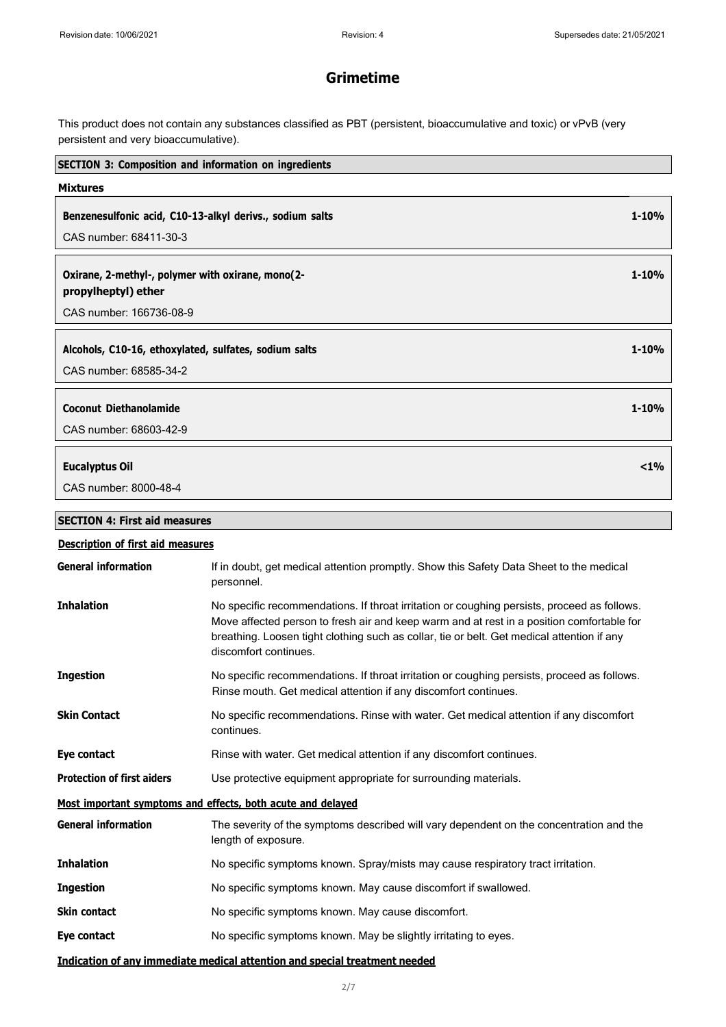This product does not contain any substances classified as PBT (persistent, bioaccumulative and toxic) or vPvB (very persistent and very bioaccumulative).

| <b>SECTION 3: Composition and information on ingredients</b>                                        |                                                                                                                                                                                                                                                                                                                 |           |
|-----------------------------------------------------------------------------------------------------|-----------------------------------------------------------------------------------------------------------------------------------------------------------------------------------------------------------------------------------------------------------------------------------------------------------------|-----------|
| <b>Mixtures</b>                                                                                     |                                                                                                                                                                                                                                                                                                                 |           |
| Benzenesulfonic acid, C10-13-alkyl derivs., sodium salts<br>CAS number: 68411-30-3                  |                                                                                                                                                                                                                                                                                                                 | $1 - 10%$ |
| Oxirane, 2-methyl-, polymer with oxirane, mono(2-<br>propylheptyl) ether<br>CAS number: 166736-08-9 |                                                                                                                                                                                                                                                                                                                 | $1 - 10%$ |
| Alcohols, C10-16, ethoxylated, sulfates, sodium salts<br>CAS number: 68585-34-2                     |                                                                                                                                                                                                                                                                                                                 | $1 - 10%$ |
| <b>Coconut Diethanolamide</b><br>CAS number: 68603-42-9                                             |                                                                                                                                                                                                                                                                                                                 | $1 - 10%$ |
| <b>Eucalyptus Oil</b><br>CAS number: 8000-48-4                                                      |                                                                                                                                                                                                                                                                                                                 | $< 1\%$   |
| <b>SECTION 4: First aid measures</b>                                                                |                                                                                                                                                                                                                                                                                                                 |           |
| <b>Description of first aid measures</b>                                                            |                                                                                                                                                                                                                                                                                                                 |           |
| <b>General information</b>                                                                          | If in doubt, get medical attention promptly. Show this Safety Data Sheet to the medical<br>personnel.                                                                                                                                                                                                           |           |
| <b>Inhalation</b>                                                                                   | No specific recommendations. If throat irritation or coughing persists, proceed as follows.<br>Move affected person to fresh air and keep warm and at rest in a position comfortable for<br>breathing. Loosen tight clothing such as collar, tie or belt. Get medical attention if any<br>discomfort continues. |           |
| <b>Ingestion</b>                                                                                    | No specific recommendations. If throat irritation or coughing persists, proceed as follows.<br>Rinse mouth. Get medical attention if any discomfort continues.                                                                                                                                                  |           |
| <b>Skin Contact</b>                                                                                 | No specific recommendations. Rinse with water. Get medical attention if any discomfort<br>continues.                                                                                                                                                                                                            |           |
| Eye contact                                                                                         | Rinse with water. Get medical attention if any discomfort continues.                                                                                                                                                                                                                                            |           |
| <b>Protection of first aiders</b>                                                                   | Use protective equipment appropriate for surrounding materials.                                                                                                                                                                                                                                                 |           |
|                                                                                                     | Most important symptoms and effects, both acute and delayed                                                                                                                                                                                                                                                     |           |

**General information** The severity of the symptoms described will vary dependent on the concentration and the length of exposure. **Inhalation** No specific symptoms known. Spray/mists may cause respiratory tract irritation. **Ingestion** No specific symptoms known. May cause discomfort if swallowed. **Skin contact** No specific symptoms known. May cause discomfort. **Eye contact** No specific symptoms known. May be slightly irritating to eyes.

## **Indication of any immediate medical attention and special treatment needed**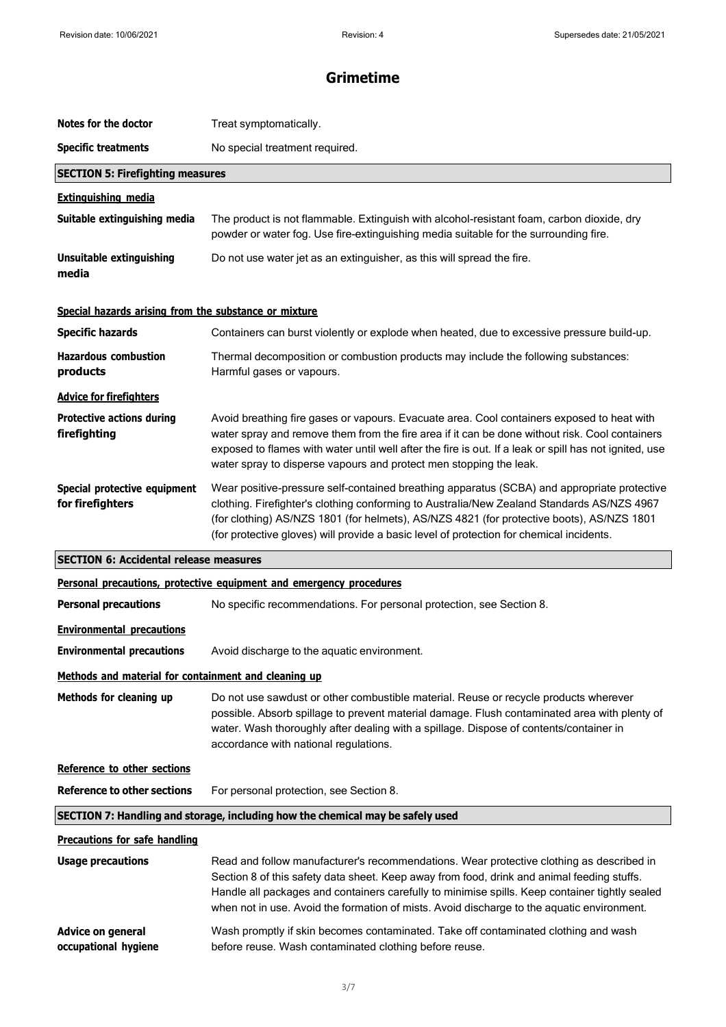| Notes for the doctor                                        | Treat symptomatically.                                                                                                                                                                                                                                                                                                                                                                 |
|-------------------------------------------------------------|----------------------------------------------------------------------------------------------------------------------------------------------------------------------------------------------------------------------------------------------------------------------------------------------------------------------------------------------------------------------------------------|
| <b>Specific treatments</b>                                  | No special treatment required.                                                                                                                                                                                                                                                                                                                                                         |
| <b>SECTION 5: Firefighting measures</b>                     |                                                                                                                                                                                                                                                                                                                                                                                        |
| <b>Extinguishing media</b>                                  |                                                                                                                                                                                                                                                                                                                                                                                        |
| Suitable extinguishing media                                | The product is not flammable. Extinguish with alcohol-resistant foam, carbon dioxide, dry<br>powder or water fog. Use fire-extinguishing media suitable for the surrounding fire.                                                                                                                                                                                                      |
| <b>Unsuitable extinguishing</b><br>media                    | Do not use water jet as an extinguisher, as this will spread the fire.                                                                                                                                                                                                                                                                                                                 |
| Special hazards arising from the substance or mixture       |                                                                                                                                                                                                                                                                                                                                                                                        |
| <b>Specific hazards</b>                                     | Containers can burst violently or explode when heated, due to excessive pressure build-up.                                                                                                                                                                                                                                                                                             |
| <b>Hazardous combustion</b><br>products                     | Thermal decomposition or combustion products may include the following substances:<br>Harmful gases or vapours.                                                                                                                                                                                                                                                                        |
| <b>Advice for firefighters</b>                              |                                                                                                                                                                                                                                                                                                                                                                                        |
| <b>Protective actions during</b><br>firefighting            | Avoid breathing fire gases or vapours. Evacuate area. Cool containers exposed to heat with<br>water spray and remove them from the fire area if it can be done without risk. Cool containers<br>exposed to flames with water until well after the fire is out. If a leak or spill has not ignited, use<br>water spray to disperse vapours and protect men stopping the leak.           |
| Special protective equipment<br>for firefighters            | Wear positive-pressure self-contained breathing apparatus (SCBA) and appropriate protective<br>clothing. Firefighter's clothing conforming to Australia/New Zealand Standards AS/NZS 4967<br>(for clothing) AS/NZS 1801 (for helmets), AS/NZS 4821 (for protective boots), AS/NZS 1801<br>(for protective gloves) will provide a basic level of protection for chemical incidents.     |
|                                                             |                                                                                                                                                                                                                                                                                                                                                                                        |
| <b>SECTION 6: Accidental release measures</b>               |                                                                                                                                                                                                                                                                                                                                                                                        |
|                                                             | Personal precautions, protective equipment and emergency procedures                                                                                                                                                                                                                                                                                                                    |
| <b>Personal precautions</b>                                 | No specific recommendations. For personal protection, see Section 8.                                                                                                                                                                                                                                                                                                                   |
| <b>Environmental precautions</b>                            |                                                                                                                                                                                                                                                                                                                                                                                        |
| <b>Environmental precautions</b>                            | Avoid discharge to the aquatic environment.                                                                                                                                                                                                                                                                                                                                            |
| <u>Methods and material for containment and cleaning up</u> |                                                                                                                                                                                                                                                                                                                                                                                        |
| Methods for cleaning up                                     | Do not use sawdust or other combustible material. Reuse or recycle products wherever<br>possible. Absorb spillage to prevent material damage. Flush contaminated area with plenty of<br>water. Wash thoroughly after dealing with a spillage. Dispose of contents/container in<br>accordance with national regulations.                                                                |
| Reference to other sections                                 |                                                                                                                                                                                                                                                                                                                                                                                        |
| <b>Reference to other sections</b>                          | For personal protection, see Section 8.                                                                                                                                                                                                                                                                                                                                                |
|                                                             | SECTION 7: Handling and storage, including how the chemical may be safely used                                                                                                                                                                                                                                                                                                         |
| <b>Precautions for safe handling</b>                        |                                                                                                                                                                                                                                                                                                                                                                                        |
| <b>Usage precautions</b>                                    | Read and follow manufacturer's recommendations. Wear protective clothing as described in<br>Section 8 of this safety data sheet. Keep away from food, drink and animal feeding stuffs.<br>Handle all packages and containers carefully to minimise spills. Keep container tightly sealed<br>when not in use. Avoid the formation of mists. Avoid discharge to the aquatic environment. |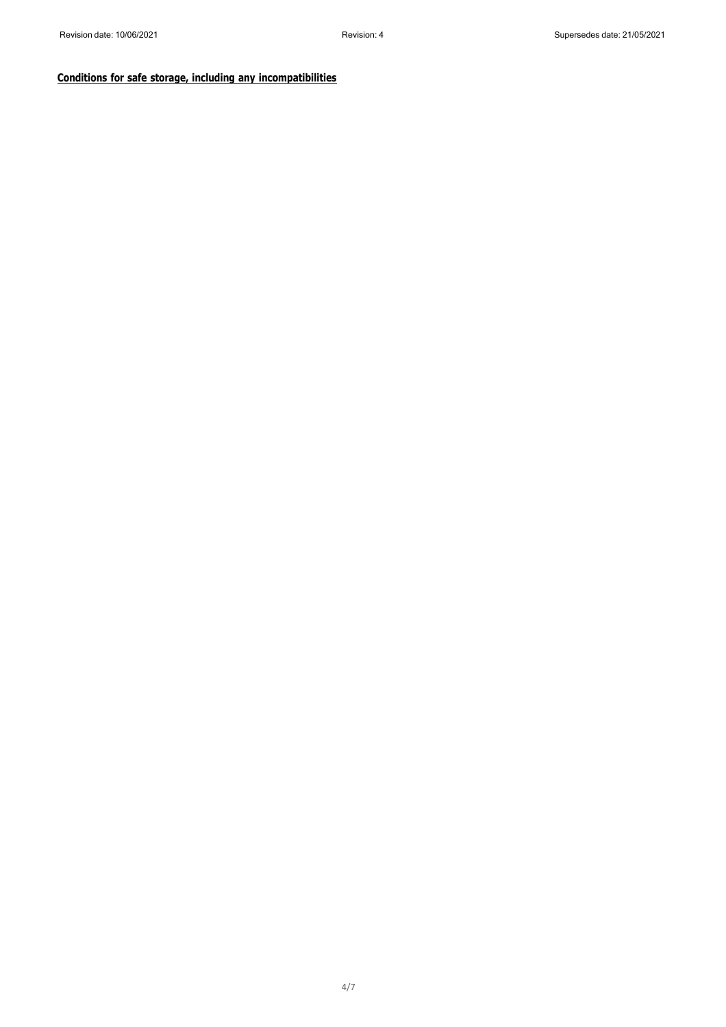## **Conditions for safe storage, including any incompatibilities**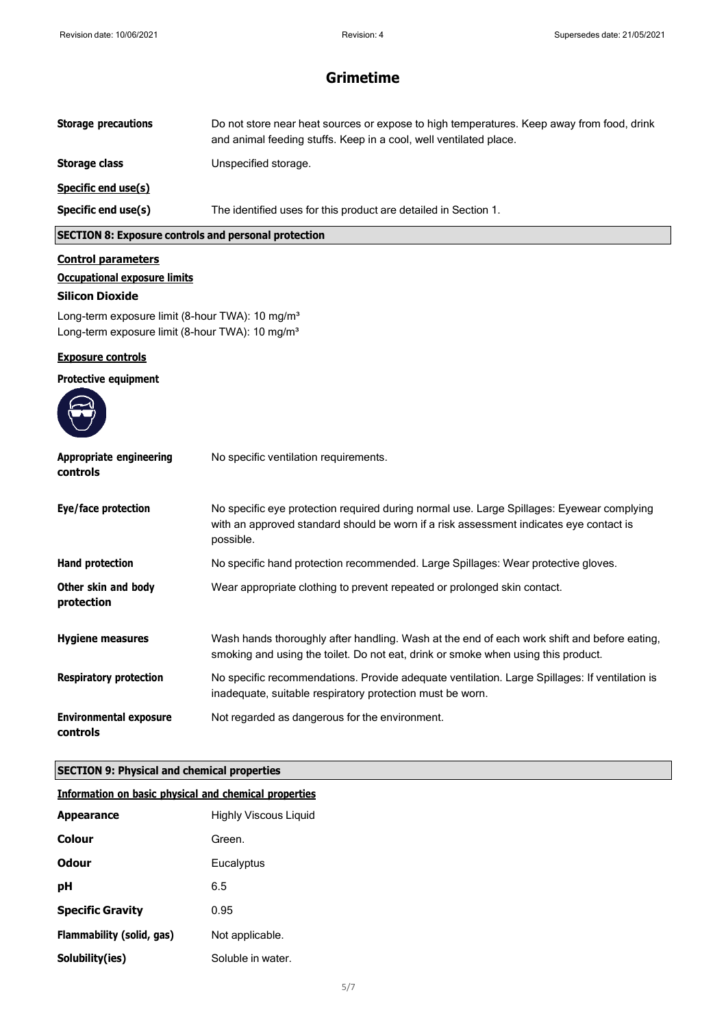| <b>Storage precautions</b>                                                                                                 | Do not store near heat sources or expose to high temperatures. Keep away from food, drink<br>and animal feeding stuffs. Keep in a cool, well ventilated place.                                   |
|----------------------------------------------------------------------------------------------------------------------------|--------------------------------------------------------------------------------------------------------------------------------------------------------------------------------------------------|
| <b>Storage class</b>                                                                                                       | Unspecified storage.                                                                                                                                                                             |
| Specific end use(s)                                                                                                        |                                                                                                                                                                                                  |
| Specific end use(s)                                                                                                        | The identified uses for this product are detailed in Section 1.                                                                                                                                  |
| <b>SECTION 8: Exposure controls and personal protection</b>                                                                |                                                                                                                                                                                                  |
| <b>Control parameters</b><br><b>Occupational exposure limits</b><br><b>Silicon Dioxide</b>                                 |                                                                                                                                                                                                  |
| Long-term exposure limit (8-hour TWA): 10 mg/m <sup>3</sup><br>Long-term exposure limit (8-hour TWA): 10 mg/m <sup>3</sup> |                                                                                                                                                                                                  |
| <b>Exposure controls</b>                                                                                                   |                                                                                                                                                                                                  |
| <b>Protective equipment</b>                                                                                                |                                                                                                                                                                                                  |
| <b>Appropriate engineering</b><br>controls                                                                                 | No specific ventilation requirements.                                                                                                                                                            |
| Eye/face protection                                                                                                        | No specific eye protection required during normal use. Large Spillages: Eyewear complying<br>with an approved standard should be worn if a risk assessment indicates eye contact is<br>possible. |
| <b>Hand protection</b>                                                                                                     | No specific hand protection recommended. Large Spillages: Wear protective gloves.                                                                                                                |
| Other skin and body<br>protection                                                                                          | Wear appropriate clothing to prevent repeated or prolonged skin contact.                                                                                                                         |
| <b>Hygiene measures</b>                                                                                                    | Wash hands thoroughly after handling. Wash at the end of each work shift and before eating,<br>smoking and using the toilet. Do not eat, drink or smoke when using this product.                 |
| <b>Respiratory protection</b>                                                                                              | No specific recommendations. Provide adequate ventilation. Large Spillages: If ventilation is<br>inadequate, suitable respiratory protection must be worn.                                       |
| <b>Environmental exposure</b><br>controls                                                                                  | Not regarded as dangerous for the environment.                                                                                                                                                   |
| <b>SECTION 9: Physical and chemical properties</b>                                                                         |                                                                                                                                                                                                  |
| Information on basic physical and chemical properties                                                                      |                                                                                                                                                                                                  |
| <b>Appearance</b>                                                                                                          | <b>Highly Viscous Liquid</b>                                                                                                                                                                     |
| <b>Colour</b>                                                                                                              | Green.                                                                                                                                                                                           |
| <b>Odour</b>                                                                                                               | Eucalyptus                                                                                                                                                                                       |
| рH                                                                                                                         | 6.5                                                                                                                                                                                              |
| <b>Specific Gravity</b>                                                                                                    | 0.95                                                                                                                                                                                             |

| Flammability (solid, gas) | Not applicable. |
|---------------------------|-----------------|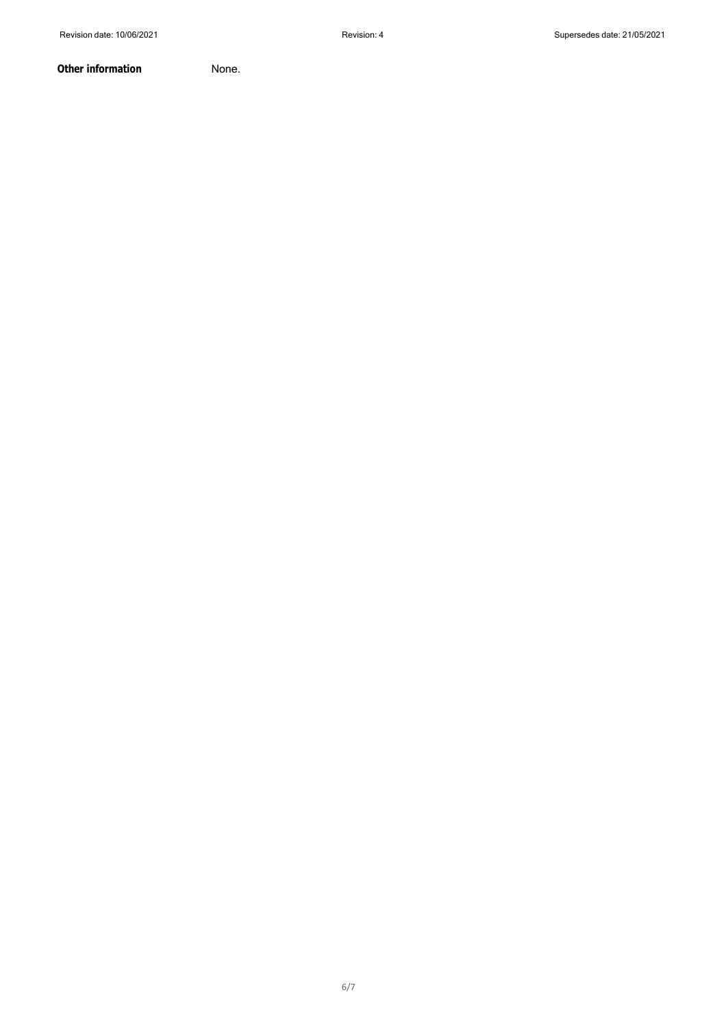**Other information** None.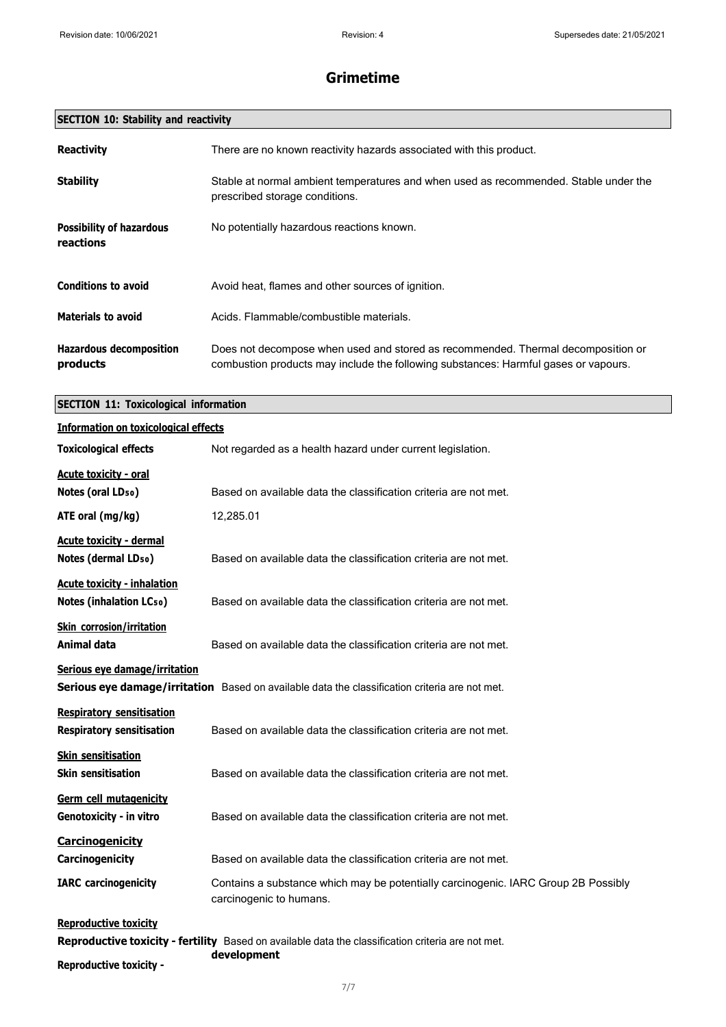| <b>SECTION 10: Stability and reactivity</b> |
|---------------------------------------------|
|---------------------------------------------|

| <b>Reactivity</b>                            | There are no known reactivity hazards associated with this product.                                                                                                     |
|----------------------------------------------|-------------------------------------------------------------------------------------------------------------------------------------------------------------------------|
| <b>Stability</b>                             | Stable at normal ambient temperatures and when used as recommended. Stable under the<br>prescribed storage conditions.                                                  |
| <b>Possibility of hazardous</b><br>reactions | No potentially hazardous reactions known.                                                                                                                               |
| <b>Conditions to avoid</b>                   | Avoid heat, flames and other sources of ignition.                                                                                                                       |
| <b>Materials to avoid</b>                    | Acids. Flammable/combustible materials.                                                                                                                                 |
| <b>Hazardous decomposition</b><br>products   | Does not decompose when used and stored as recommended. Thermal decomposition or<br>combustion products may include the following substances: Harmful gases or vapours. |

**SECTION 11: Toxicological information**

| <b>Information on toxicological effects</b>                                          |                                                                                                                   |
|--------------------------------------------------------------------------------------|-------------------------------------------------------------------------------------------------------------------|
| <b>Toxicological effects</b>                                                         | Not regarded as a health hazard under current legislation.                                                        |
| <b>Acute toxicity - oral</b><br>Notes (oral LD <sub>50</sub> )<br>ATE oral $(mg/kg)$ | Based on available data the classification criteria are not met.<br>12,285.01                                     |
|                                                                                      |                                                                                                                   |
| <b>Acute toxicity - dermal</b><br>Notes (dermal LD <sub>50</sub> )                   | Based on available data the classification criteria are not met.                                                  |
| <b>Acute toxicity - inhalation</b><br><b>Notes (inhalation LCso)</b>                 | Based on available data the classification criteria are not met.                                                  |
| <b>Skin corrosion/irritation</b><br>Animal data                                      | Based on available data the classification criteria are not met.                                                  |
| Serious eye damage/irritation                                                        | Serious eye damage/irritation Based on available data the classification criteria are not met.                    |
| <b>Respiratory sensitisation</b><br><b>Respiratory sensitisation</b>                 | Based on available data the classification criteria are not met.                                                  |
| <b>Skin sensitisation</b><br><b>Skin sensitisation</b>                               | Based on available data the classification criteria are not met.                                                  |
| Germ cell mutagenicity<br>Genotoxicity - in vitro                                    | Based on available data the classification criteria are not met.                                                  |
| <b>Carcinogenicity</b>                                                               |                                                                                                                   |
| Carcinogenicity                                                                      | Based on available data the classification criteria are not met.                                                  |
| <b>IARC</b> carcinogenicity                                                          | Contains a substance which may be potentially carcinogenic. IARC Group 2B Possibly<br>carcinogenic to humans.     |
| <b>Reproductive toxicity</b>                                                         |                                                                                                                   |
|                                                                                      | Reproductive toxicity - fertility Based on available data the classification criteria are not met.<br>development |

**Reproductive toxicity -**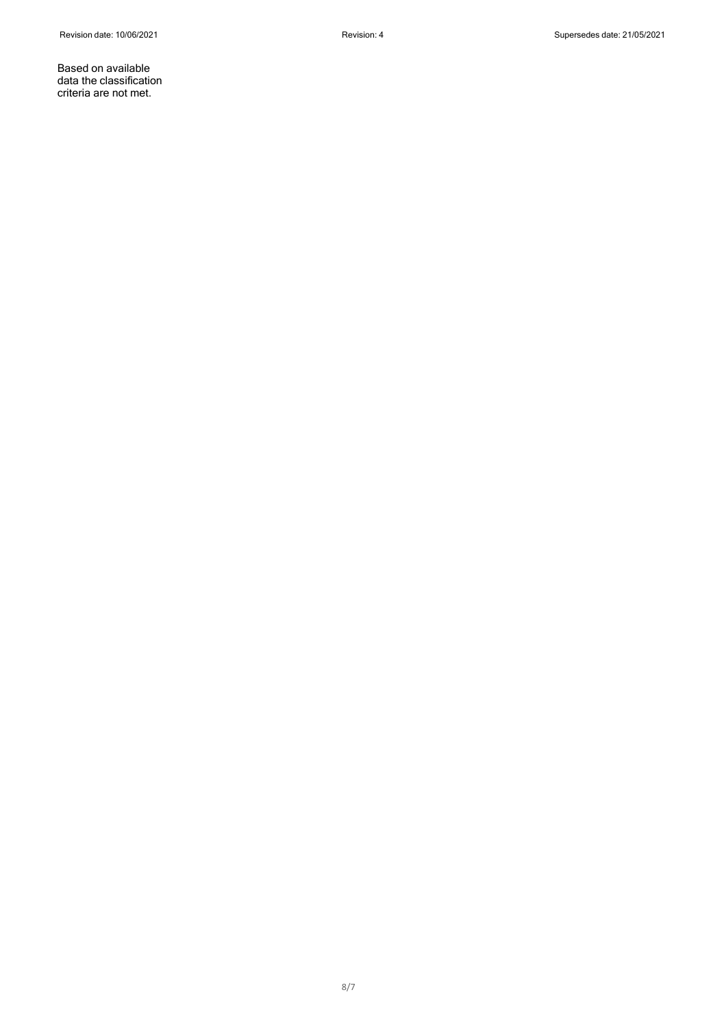Based on available data the classification criteria are not met.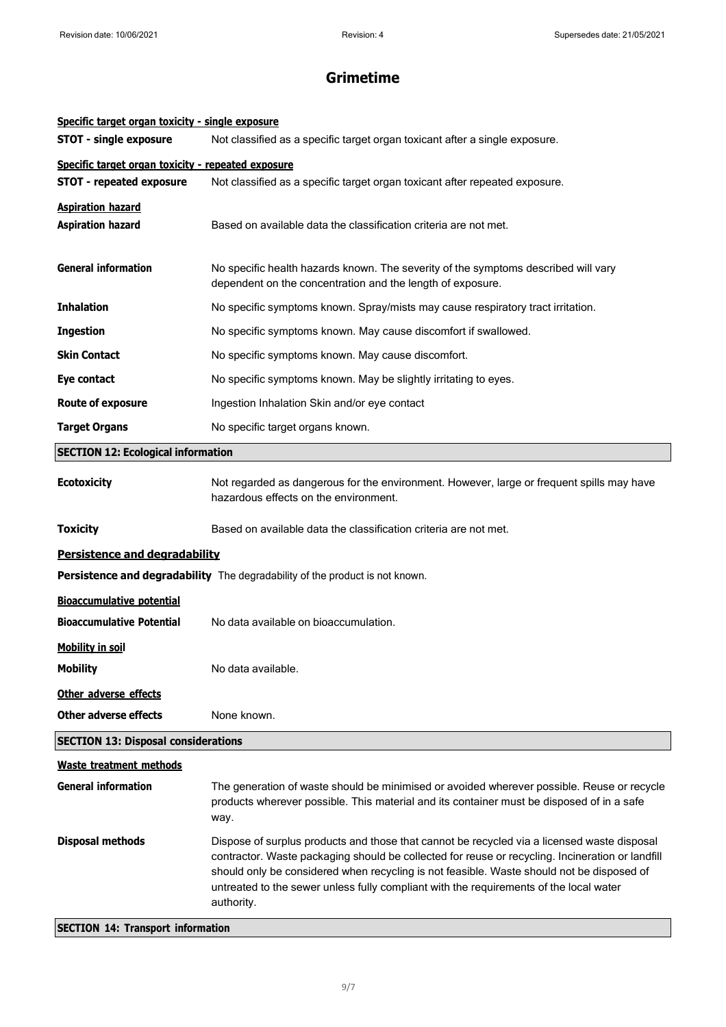| Specific target organ toxicity - single exposure   |                                                                                                                                                                                                                                                                                                                                                                                                      |
|----------------------------------------------------|------------------------------------------------------------------------------------------------------------------------------------------------------------------------------------------------------------------------------------------------------------------------------------------------------------------------------------------------------------------------------------------------------|
| <b>STOT - single exposure</b>                      | Not classified as a specific target organ toxicant after a single exposure.                                                                                                                                                                                                                                                                                                                          |
| Specific target organ toxicity - repeated exposure |                                                                                                                                                                                                                                                                                                                                                                                                      |
| <b>STOT - repeated exposure</b>                    | Not classified as a specific target organ toxicant after repeated exposure.                                                                                                                                                                                                                                                                                                                          |
| <b>Aspiration hazard</b>                           |                                                                                                                                                                                                                                                                                                                                                                                                      |
| <b>Aspiration hazard</b>                           | Based on available data the classification criteria are not met.                                                                                                                                                                                                                                                                                                                                     |
| <b>General information</b>                         | No specific health hazards known. The severity of the symptoms described will vary<br>dependent on the concentration and the length of exposure.                                                                                                                                                                                                                                                     |
| <b>Inhalation</b>                                  | No specific symptoms known. Spray/mists may cause respiratory tract irritation.                                                                                                                                                                                                                                                                                                                      |
| <b>Ingestion</b>                                   | No specific symptoms known. May cause discomfort if swallowed.                                                                                                                                                                                                                                                                                                                                       |
| <b>Skin Contact</b>                                | No specific symptoms known. May cause discomfort.                                                                                                                                                                                                                                                                                                                                                    |
| Eye contact                                        | No specific symptoms known. May be slightly irritating to eyes.                                                                                                                                                                                                                                                                                                                                      |
| <b>Route of exposure</b>                           | Ingestion Inhalation Skin and/or eye contact                                                                                                                                                                                                                                                                                                                                                         |
| <b>Target Organs</b>                               | No specific target organs known.                                                                                                                                                                                                                                                                                                                                                                     |
| <b>SECTION 12: Ecological information</b>          |                                                                                                                                                                                                                                                                                                                                                                                                      |
| <b>Ecotoxicity</b>                                 | Not regarded as dangerous for the environment. However, large or frequent spills may have<br>hazardous effects on the environment.                                                                                                                                                                                                                                                                   |
| <b>Toxicity</b>                                    | Based on available data the classification criteria are not met.                                                                                                                                                                                                                                                                                                                                     |
| Persistence and degradability                      |                                                                                                                                                                                                                                                                                                                                                                                                      |
|                                                    | <b>Persistence and degradability</b> The degradability of the product is not known.                                                                                                                                                                                                                                                                                                                  |
| <b>Bioaccumulative potential</b>                   |                                                                                                                                                                                                                                                                                                                                                                                                      |
| <b>Bioaccumulative Potential</b>                   | No data available on bioaccumulation.                                                                                                                                                                                                                                                                                                                                                                |
| <b>Mobility in soil</b>                            |                                                                                                                                                                                                                                                                                                                                                                                                      |
| <b>Mobility</b>                                    | No data available.                                                                                                                                                                                                                                                                                                                                                                                   |
| Other adverse effects                              |                                                                                                                                                                                                                                                                                                                                                                                                      |
| <b>Other adverse effects</b>                       | None known.                                                                                                                                                                                                                                                                                                                                                                                          |
| <b>SECTION 13: Disposal considerations</b>         |                                                                                                                                                                                                                                                                                                                                                                                                      |
| <b>Waste treatment methods</b>                     |                                                                                                                                                                                                                                                                                                                                                                                                      |
| <b>General information</b>                         | The generation of waste should be minimised or avoided wherever possible. Reuse or recycle<br>products wherever possible. This material and its container must be disposed of in a safe<br>way.                                                                                                                                                                                                      |
| <b>Disposal methods</b>                            | Dispose of surplus products and those that cannot be recycled via a licensed waste disposal<br>contractor. Waste packaging should be collected for reuse or recycling. Incineration or landfill<br>should only be considered when recycling is not feasible. Waste should not be disposed of<br>untreated to the sewer unless fully compliant with the requirements of the local water<br>authority. |

## **SECTION 14: Transport information**